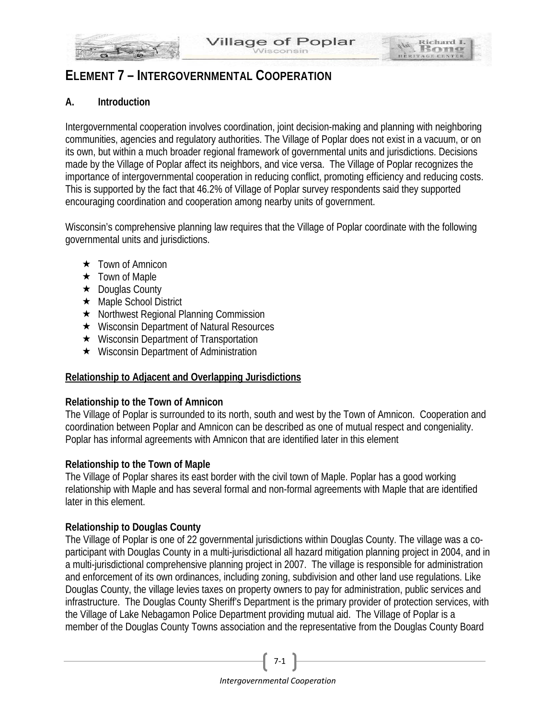

Richard I Ro

HERITAGE CI

# **A. Introduction**

Intergovernmental cooperation involves coordination, joint decision-making and planning with neighboring communities, agencies and regulatory authorities. The Village of Poplar does not exist in a vacuum, or on its own, but within a much broader regional framework of governmental units and jurisdictions. Decisions made by the Village of Poplar affect its neighbors, and vice versa. The Village of Poplar recognizes the importance of intergovernmental cooperation in reducing conflict, promoting efficiency and reducing costs. This is supported by the fact that 46.2% of Village of Poplar survey respondents said they supported encouraging coordination and cooperation among nearby units of government.

Wisconsin's comprehensive planning law requires that the Village of Poplar coordinate with the following governmental units and jurisdictions.

- **★** Town of Amnicon
- $\star$  Town of Maple
- **★** Douglas County
- ★ Maple School District
- **★** Northwest Regional Planning Commission
- Wisconsin Department of Natural Resources
- **★** Wisconsin Department of Transportation
- **★** Wisconsin Department of Administration

# **Relationship to Adjacent and Overlapping Jurisdictions**

# **Relationship to the Town of Amnicon**

The Village of Poplar is surrounded to its north, south and west by the Town of Amnicon. Cooperation and coordination between Poplar and Amnicon can be described as one of mutual respect and congeniality. Poplar has informal agreements with Amnicon that are identified later in this element

# **Relationship to the Town of Maple**

The Village of Poplar shares its east border with the civil town of Maple. Poplar has a good working relationship with Maple and has several formal and non-formal agreements with Maple that are identified later in this element.

# **Relationship to Douglas County**

The Village of Poplar is one of 22 governmental jurisdictions within Douglas County. The village was a coparticipant with Douglas County in a multi-jurisdictional all hazard mitigation planning project in 2004, and in a multi-jurisdictional comprehensive planning project in 2007. The village is responsible for administration and enforcement of its own ordinances, including zoning, subdivision and other land use regulations. Like Douglas County, the village levies taxes on property owners to pay for administration, public services and infrastructure. The Douglas County Sheriff's Department is the primary provider of protection services, with the Village of Lake Nebagamon Police Department providing mutual aid. The Village of Poplar is a member of the Douglas County Towns association and the representative from the Douglas County Board

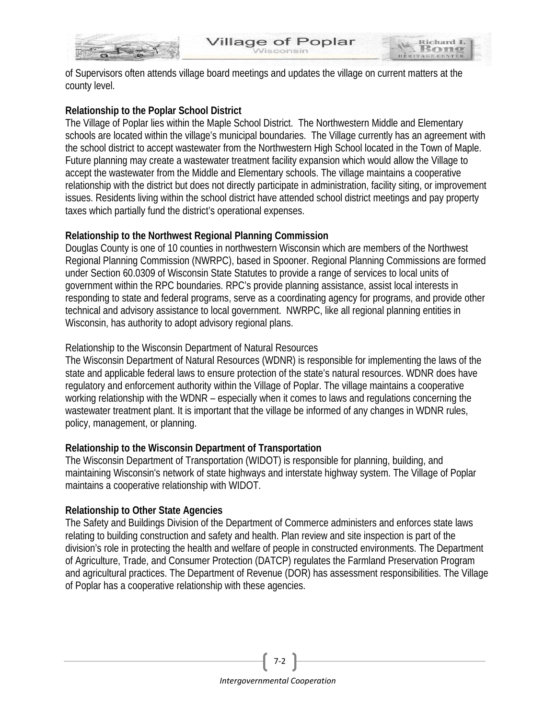

of Supervisors often attends village board meetings and updates the village on current matters at the county level.

illage of Poplar

Richard I

### **Relationship to the Poplar School District**

The Village of Poplar lies within the Maple School District. The Northwestern Middle and Elementary schools are located within the village's municipal boundaries. The Village currently has an agreement with the school district to accept wastewater from the Northwestern High School located in the Town of Maple. Future planning may create a wastewater treatment facility expansion which would allow the Village to accept the wastewater from the Middle and Elementary schools. The village maintains a cooperative relationship with the district but does not directly participate in administration, facility siting, or improvement issues. Residents living within the school district have attended school district meetings and pay property taxes which partially fund the district's operational expenses.

### **Relationship to the Northwest Regional Planning Commission**

Douglas County is one of 10 counties in northwestern Wisconsin which are members of the Northwest Regional Planning Commission (NWRPC), based in Spooner. Regional Planning Commissions are formed under Section 60.0309 of Wisconsin State Statutes to provide a range of services to local units of government within the RPC boundaries. RPC's provide planning assistance, assist local interests in responding to state and federal programs, serve as a coordinating agency for programs, and provide other technical and advisory assistance to local government. NWRPC, like all regional planning entities in Wisconsin, has authority to adopt advisory regional plans.

### Relationship to the Wisconsin Department of Natural Resources

The Wisconsin Department of Natural Resources (WDNR) is responsible for implementing the laws of the state and applicable federal laws to ensure protection of the state's natural resources. WDNR does have regulatory and enforcement authority within the Village of Poplar. The village maintains a cooperative working relationship with the WDNR – especially when it comes to laws and regulations concerning the wastewater treatment plant. It is important that the village be informed of any changes in WDNR rules, policy, management, or planning.

### **Relationship to the Wisconsin Department of Transportation**

The Wisconsin Department of Transportation (WIDOT) is responsible for planning, building, and maintaining Wisconsin's network of state highways and interstate highway system. The Village of Poplar maintains a cooperative relationship with WIDOT.

### **Relationship to Other State Agencies**

The Safety and Buildings Division of the Department of Commerce administers and enforces state laws relating to building construction and safety and health. Plan review and site inspection is part of the division's role in protecting the health and welfare of people in constructed environments. The Department of Agriculture, Trade, and Consumer Protection (DATCP) regulates the Farmland Preservation Program and agricultural practices. The Department of Revenue (DOR) has assessment responsibilities. The Village of Poplar has a cooperative relationship with these agencies.



7-2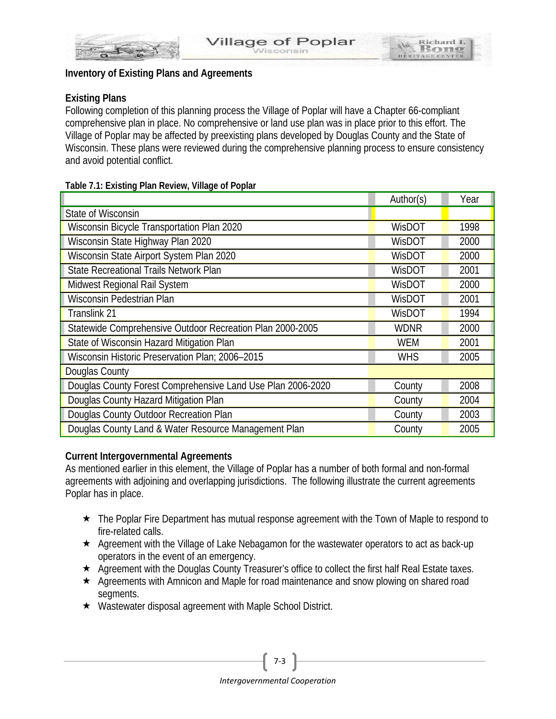

Richard I

HERITAGE C

### **Existing Plans**

Following completion of this planning process the Village of Poplar will have a Chapter 66-compliant comprehensive plan in place. No comprehensive or land use plan was in place prior to this effort. The Village of Poplar may be affected by preexisting plans developed by Douglas County and the State of Wisconsin. These plans were reviewed during the comprehensive planning process to ensure consistency and avoid potential conflict.

#### **Table 7.1: Existing Plan Review, Village of Poplar**

|                                                             | Author(s)  | Year |
|-------------------------------------------------------------|------------|------|
| State of Wisconsin                                          |            |      |
| Wisconsin Bicycle Transportation Plan 2020                  | WisDOT     | 1998 |
| Wisconsin State Highway Plan 2020                           | WisDOT     | 2000 |
| Wisconsin State Airport System Plan 2020                    | WisDOT     | 2000 |
| <b>State Recreational Trails Network Plan</b>               | WisDOT     | 2001 |
| Midwest Regional Rail System                                | WisDOT     | 2000 |
| Wisconsin Pedestrian Plan                                   | WisDOT     | 2001 |
| Translink 21                                                | WisDOT     | 1994 |
| Statewide Comprehensive Outdoor Recreation Plan 2000-2005   | WDNR       | 2000 |
| State of Wisconsin Hazard Mitigation Plan                   | <b>WEM</b> | 2001 |
| Wisconsin Historic Preservation Plan; 2006-2015             | <b>WHS</b> | 2005 |
| <b>Douglas County</b>                                       |            |      |
| Douglas County Forest Comprehensive Land Use Plan 2006-2020 | County     | 2008 |
| Douglas County Hazard Mitigation Plan                       | County     | 2004 |
| Douglas County Outdoor Recreation Plan                      | County     | 2003 |
| Douglas County Land & Water Resource Management Plan        | County     | 2005 |

### **Current Intergovernmental Agreements**

As mentioned earlier in this element, the Village of Poplar has a number of both formal and non-formal agreements with adjoining and overlapping jurisdictions. The following illustrate the current agreements Poplar has in place.

- ★ The Poplar Fire Department has mutual response agreement with the Town of Maple to respond to fire-related calls.
- $\star$  Agreement with the Village of Lake Nebagamon for the wastewater operators to act as back-up operators in the event of an emergency.
- ★ Agreement with the Douglas County Treasurer's office to collect the first half Real Estate taxes.
- $\star$  Agreements with Amnicon and Maple for road maintenance and snow plowing on shared road segments.
- Wastewater disposal agreement with Maple School District.

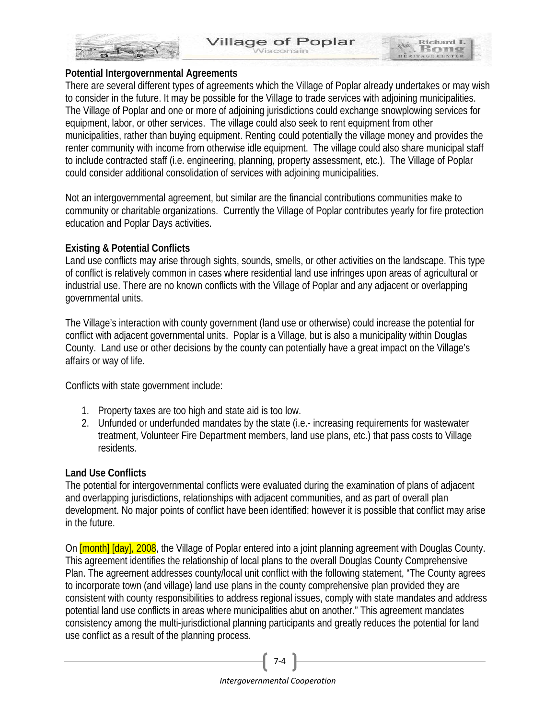

Richard I

#### **Potential Intergovernmental Agreements**

There are several different types of agreements which the Village of Poplar already undertakes or may wish to consider in the future. It may be possible for the Village to trade services with adjoining municipalities. The Village of Poplar and one or more of adjoining jurisdictions could exchange snowplowing services for equipment, labor, or other services. The village could also seek to rent equipment from other municipalities, rather than buying equipment. Renting could potentially the village money and provides the renter community with income from otherwise idle equipment. The village could also share municipal staff to include contracted staff (i.e. engineering, planning, property assessment, etc.). The Village of Poplar could consider additional consolidation of services with adjoining municipalities.

Not an intergovernmental agreement, but similar are the financial contributions communities make to community or charitable organizations. Currently the Village of Poplar contributes yearly for fire protection education and Poplar Days activities.

### **Existing & Potential Conflicts**

Land use conflicts may arise through sights, sounds, smells, or other activities on the landscape. This type of conflict is relatively common in cases where residential land use infringes upon areas of agricultural or industrial use. There are no known conflicts with the Village of Poplar and any adjacent or overlapping governmental units.

The Village's interaction with county government (land use or otherwise) could increase the potential for conflict with adjacent governmental units. Poplar is a Village, but is also a municipality within Douglas County. Land use or other decisions by the county can potentially have a great impact on the Village's affairs or way of life.

Conflicts with state government include:

- 1. Property taxes are too high and state aid is too low.
- 2. Unfunded or underfunded mandates by the state (i.e.- increasing requirements for wastewater treatment, Volunteer Fire Department members, land use plans, etc.) that pass costs to Village residents.

### **Land Use Conflicts**

The potential for intergovernmental conflicts were evaluated during the examination of plans of adjacent and overlapping jurisdictions, relationships with adjacent communities, and as part of overall plan development. No major points of conflict have been identified; however it is possible that conflict may arise in the future.

On **[month] [day], 2008**, the Village of Poplar entered into a joint planning agreement with Douglas County. This agreement identifies the relationship of local plans to the overall Douglas County Comprehensive Plan. The agreement addresses county/local unit conflict with the following statement, "The County agrees to incorporate town (and village) land use plans in the county comprehensive plan provided they are consistent with county responsibilities to address regional issues, comply with state mandates and address potential land use conflicts in areas where municipalities abut on another." This agreement mandates consistency among the multi-jurisdictional planning participants and greatly reduces the potential for land use conflict as a result of the planning process.